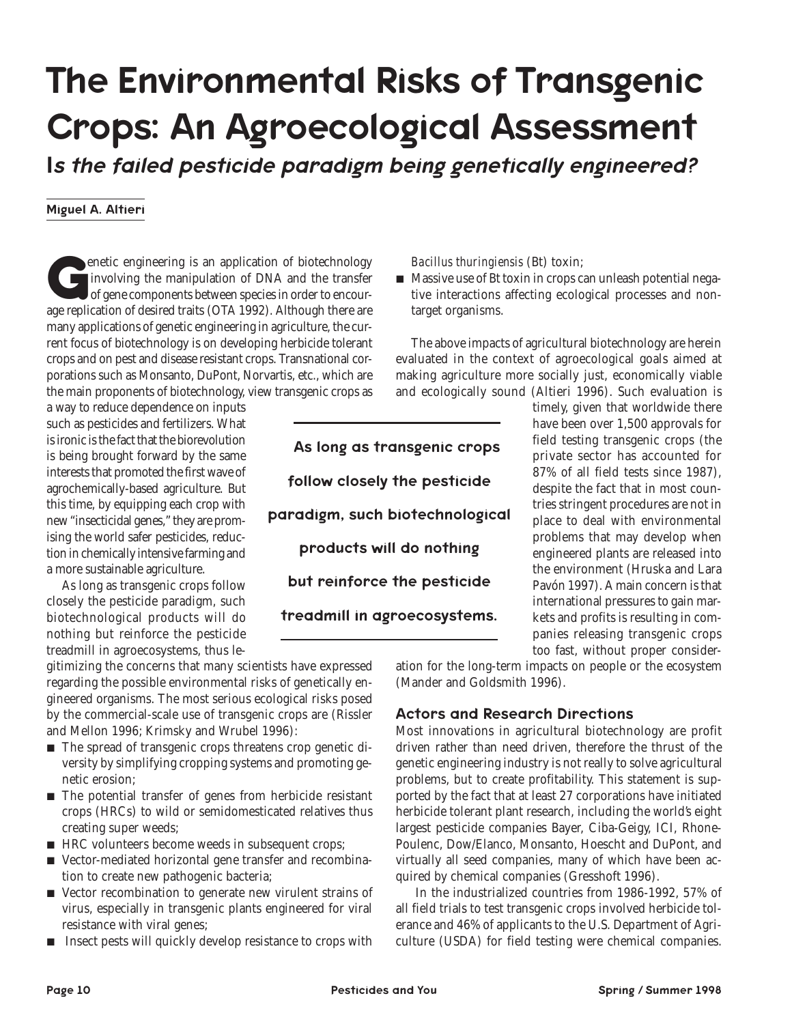# The Environmental Risks of Transgenic Crops: An Agroecological Assessment

*I*s the failed pesticide paradigm being genetically engineered?

#### Miguel A. Altieri

**G**enetic engineering is an application of biotechnology involving the manipulation of DNA and the transfer of gene components between species in order to encourage replication of desired traits (OTA 1992). Although there are many applications of genetic engineering in agriculture, the current focus of biotechnology is on developing herbicide tolerant crops and on pest and disease resistant crops. Transnational corporations such as Monsanto, DuPont, Norvartis, etc., which are the main proponents of biotechnology, view transgenic crops as

a way to reduce dependence on inputs such as pesticides and fertilizers. What is ironic is the fact that the biorevolution is being brought forward by the same interests that promoted the first wave of agrochemically-based agriculture. But this time, by equipping each crop with new "insecticidal genes," they are promising the world safer pesticides, reduction in chemically intensive farming and a more sustainable agriculture.

As long as transgenic crops follow closely the pesticide paradigm, such biotechnological products will do nothing but reinforce the pesticide treadmill in agroecosystems, thus le-

gitimizing the concerns that many scientists have expressed regarding the possible environmental risks of genetically engineered organisms. The most serious ecological risks posed by the commercial-scale use of transgenic crops are (Rissler and Mellon 1996; Krimsky and Wrubel 1996):

- $\blacksquare$  The spread of transgenic crops threatens crop genetic diversity by simplifying cropping systems and promoting genetic erosion;
- $\blacksquare$  The potential transfer of genes from herbicide resistant crops (HRCs) to wild or semidomesticated relatives thus creating super weeds;
- HRC volunteers become weeds in subsequent crops;
- Vector-mediated horizontal gene transfer and recombination to create new pathogenic bacteria;
- L Vector recombination to generate new virulent strains of virus, especially in transgenic plants engineered for viral resistance with viral genes;
- $\blacksquare$  Insect pests will quickly develop resistance to crops with

*Bacillus thuringiensis* (Bt) toxin;

 $\blacksquare$  Massive use of Bt toxin in crops can unleash potential negative interactions affecting ecological processes and nontarget organisms.

The above impacts of agricultural biotechnology are herein evaluated in the context of agroecological goals aimed at making agriculture more socially just, economically viable and ecologically sound (Altieri 1996). Such evaluation is

As long as transgenic crops follow closely the pesticide paradigm, such biotechnological products will do nothing but reinforce the pesticide treadmill in agroecosystems.

timely, given that worldwide there have been over 1,500 approvals for field testing transgenic crops (the private sector has accounted for 87% of all field tests since 1987), despite the fact that in most countries stringent procedures are not in place to deal with environmental problems that may develop when engineered plants are released into the environment (Hruska and Lara Pavón 1997). A main concern is that international pressures to gain markets and profits is resulting in companies releasing transgenic crops too fast, without proper consider-

ation for the long-term impacts on people or the ecosystem (Mander and Goldsmith 1996).

#### Actors and Research Directions

Most innovations in agricultural biotechnology are profit driven rather than need driven, therefore the thrust of the genetic engineering industry is not really to solve agricultural problems, but to create profitability. This statement is supported by the fact that at least 27 corporations have initiated herbicide tolerant plant research, including the world's eight largest pesticide companies Bayer, Ciba-Geigy, ICI, Rhone-Poulenc, Dow/Elanco, Monsanto, Hoescht and DuPont, and virtually all seed companies, many of which have been acquired by chemical companies (Gresshoft 1996).

 In the industrialized countries from 1986-1992, 57% of all field trials to test transgenic crops involved herbicide tolerance and 46% of applicants to the U.S. Department of Agriculture (USDA) for field testing were chemical companies.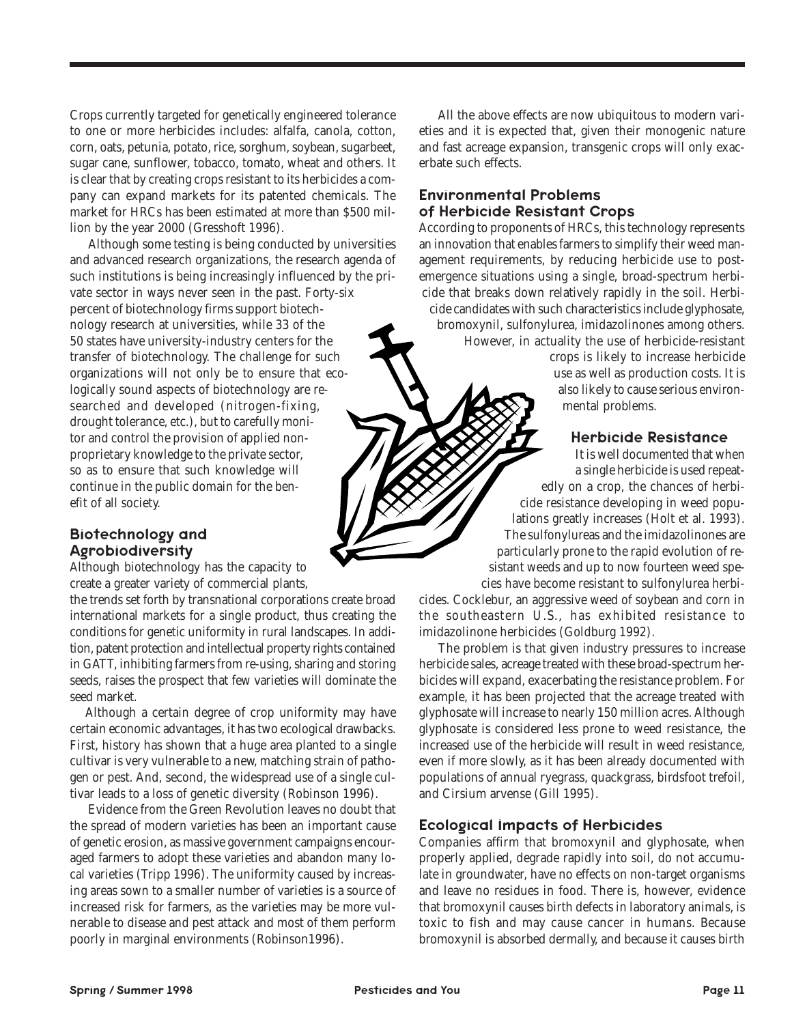Crops currently targeted for genetically engineered tolerance to one or more herbicides includes: alfalfa, canola, cotton, corn, oats, petunia, potato, rice, sorghum, soybean, sugarbeet, sugar cane, sunflower, tobacco, tomato, wheat and others. It is clear that by creating crops resistant to its herbicides a company can expand markets for its patented chemicals. The market for HRCs has been estimated at more than \$500 million by the year 2000 (Gresshoft 1996).

 Although some testing is being conducted by universities and advanced research organizations, the research agenda of such institutions is being increasingly influenced by the private sector in ways never seen in the past. Forty-six percent of biotechnology firms support biotechnology research at universities, while 33 of the 50 states have university-industry centers for the transfer of biotechnology. The challenge for such organizations will not only be to ensure that ecologically sound aspects of biotechnology are researched and developed (nitrogen-fixing, drought tolerance, etc.), but to carefully monitor and control the provision of applied nonproprietary knowledge to the private sector, so as to ensure that such knowledge will continue in the public domain for the benefit of all society.

# Biotechnology and Agrobiodiversity

Although biotechnology has the capacity to create a greater variety of commercial plants,

the trends set forth by transnational corporations create broad international markets for a single product, thus creating the conditions for genetic uniformity in rural landscapes. In addition, patent protection and intellectual property rights contained in GATT, inhibiting farmers from re-using, sharing and storing seeds, raises the prospect that few varieties will dominate the seed market.

Although a certain degree of crop uniformity may have certain economic advantages, it has two ecological drawbacks. First, history has shown that a huge area planted to a single cultivar is very vulnerable to a new, matching strain of pathogen or pest. And, second, the widespread use of a single cultivar leads to a loss of genetic diversity (Robinson 1996).

 Evidence from the Green Revolution leaves no doubt that the spread of modern varieties has been an important cause of genetic erosion, as massive government campaigns encouraged farmers to adopt these varieties and abandon many local varieties (Tripp 1996). The uniformity caused by increasing areas sown to a smaller number of varieties is a source of increased risk for farmers, as the varieties may be more vulnerable to disease and pest attack and most of them perform poorly in marginal environments (Robinson1996).

 All the above effects are now ubiquitous to modern varieties and it is expected that, given their monogenic nature and fast acreage expansion, transgenic crops will only exacerbate such effects.

# Environmental Problems of Herbicide Resistant Crops

According to proponents of HRCs, this technology represents an innovation that enables farmers to simplify their weed management requirements, by reducing herbicide use to postemergence situations using a single, broad-spectrum herbicide that breaks down relatively rapidly in the soil. Herbicide candidates with such characteristics include glyphosate, bromoxynil, sulfonylurea, imidazolinones among others. However, in actuality the use of herbicide-resistant crops is likely to increase herbicide use as well as production costs. It is also likely to cause serious environ-

mental problems.

#### Herbicide Resistance

It is well documented that when a single herbicide is used repeatedly on a crop, the chances of herbicide resistance developing in weed populations greatly increases (Holt et al. 1993). The sulfonylureas and the imidazolinones are particularly prone to the rapid evolution of resistant weeds and up to now fourteen weed species have become resistant to sulfonylurea herbi-

cides. Cocklebur, an aggressive weed of soybean and corn in the southeastern U.S., has exhibited resistance to imidazolinone herbicides (Goldburg 1992).

 The problem is that given industry pressures to increase herbicide sales, acreage treated with these broad-spectrum herbicides will expand, exacerbating the resistance problem. For example, it has been projected that the acreage treated with glyphosate will increase to nearly 150 million acres. Although glyphosate is considered less prone to weed resistance, the increased use of the herbicide will result in weed resistance, even if more slowly, as it has been already documented with populations of annual ryegrass, quackgrass, birdsfoot trefoil, and Cirsium arvense (Gill 1995).

#### Ecological Impacts of Herbicides

Companies affirm that bromoxynil and glyphosate, when properly applied, degrade rapidly into soil, do not accumulate in groundwater, have no effects on non-target organisms and leave no residues in food. There is, however, evidence that bromoxynil causes birth defects in laboratory animals, is toxic to fish and may cause cancer in humans. Because bromoxynil is absorbed dermally, and because it causes birth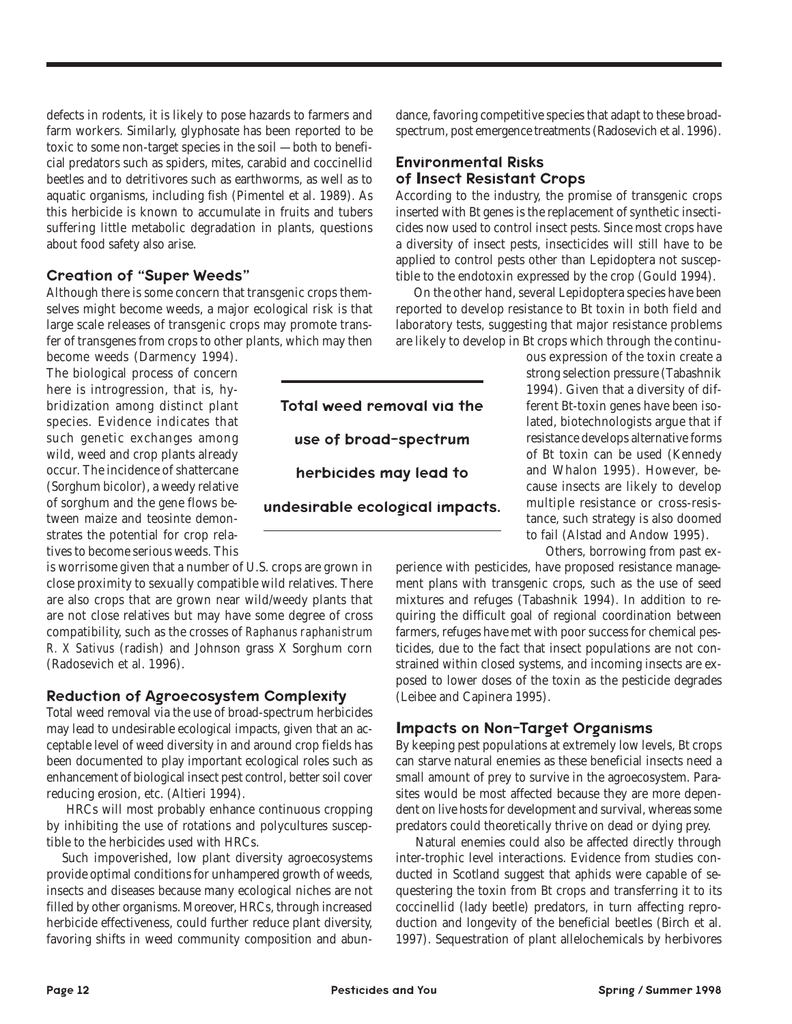defects in rodents, it is likely to pose hazards to farmers and farm workers. Similarly, glyphosate has been reported to be toxic to some non-target species in the soil —both to beneficial predators such as spiders, mites, carabid and coccinellid beetles and to detritivores such as earthworms, as well as to aquatic organisms, including fish (Pimentel et al. 1989). As this herbicide is known to accumulate in fruits and tubers suffering little metabolic degradation in plants, questions about food safety also arise.

# Creation of "Super Weeds"

Although there is some concern that transgenic crops themselves might become weeds, a major ecological risk is that large scale releases of transgenic crops may promote transfer of transgenes from crops to other plants, which may then

become weeds (Darmency 1994). The biological process of concern here is introgression, that is, hybridization among distinct plant species. Evidence indicates that such genetic exchanges among wild, weed and crop plants already occur. The incidence of shattercane (Sorghum bicolor), a weedy relative of sorghum and the gene flows between maize and teosinte demonstrates the potential for crop relatives to become serious weeds. This

is worrisome given that a number of U.S. crops are grown in close proximity to sexually compatible wild relatives. There are also crops that are grown near wild/weedy plants that are not close relatives but may have some degree of cross compatibility, such as the crosses of *Raphanus raphanistrum R. X Sativus* (radish) and Johnson grass X Sorghum corn (Radosevich et al. 1996).

#### Reduction of Agroecosystem Complexity

Total weed removal via the use of broad-spectrum herbicides may lead to undesirable ecological impacts, given that an acceptable level of weed diversity in and around crop fields has been documented to play important ecological roles such as enhancement of biological insect pest control, better soil cover reducing erosion, etc. (Altieri 1994).

 HRCs will most probably enhance continuous cropping by inhibiting the use of rotations and polycultures susceptible to the herbicides used with HRCs.

Such impoverished, low plant diversity agroecosystems provide optimal conditions for unhampered growth of weeds, insects and diseases because many ecological niches are not filled by other organisms. Moreover, HRCs, through increased herbicide effectiveness, could further reduce plant diversity, favoring shifts in weed community composition and abundance, favoring competitive species that adapt to these broadspectrum, post emergence treatments (Radosevich et al. 1996).

#### Environmental Risks of **I**nsect Resistant Crops

According to the industry, the promise of transgenic crops inserted with Bt genes is the replacement of synthetic insecticides now used to control insect pests. Since most crops have a diversity of insect pests, insecticides will still have to be applied to control pests other than Lepidoptera not susceptible to the endotoxin expressed by the crop (Gould 1994).

 On the other hand, several Lepidoptera species have been reported to develop resistance to Bt toxin in both field and laboratory tests, suggesting that major resistance problems are likely to develop in Bt crops which through the continu-

Total weed removal via the use of broad-spectrum herbicides may lead to undesirable ecological impacts. ous expression of the toxin create a strong selection pressure (Tabashnik 1994). Given that a diversity of different Bt-toxin genes have been isolated, biotechnologists argue that if resistance develops alternative forms of Bt toxin can be used (Kennedy and Whalon 1995). However, because insects are likely to develop multiple resistance or cross-resistance, such strategy is also doomed to fail (Alstad and Andow 1995).

Others, borrowing from past ex-

perience with pesticides, have proposed resistance management plans with transgenic crops, such as the use of seed mixtures and refuges (Tabashnik 1994). In addition to requiring the difficult goal of regional coordination between farmers, refuges have met with poor success for chemical pesticides, due to the fact that insect populations are not constrained within closed systems, and incoming insects are exposed to lower doses of the toxin as the pesticide degrades (Leibee and Capinera 1995).

# **I**mpacts on Non-Target Organisms

By keeping pest populations at extremely low levels, Bt crops can starve natural enemies as these beneficial insects need a small amount of prey to survive in the agroecosystem. Parasites would be most affected because they are more dependent on live hosts for development and survival, whereas some predators could theoretically thrive on dead or dying prey.

 Natural enemies could also be affected directly through inter-trophic level interactions. Evidence from studies conducted in Scotland suggest that aphids were capable of sequestering the toxin from Bt crops and transferring it to its coccinellid (lady beetle) predators, in turn affecting reproduction and longevity of the beneficial beetles (Birch et al. 1997). Sequestration of plant allelochemicals by herbivores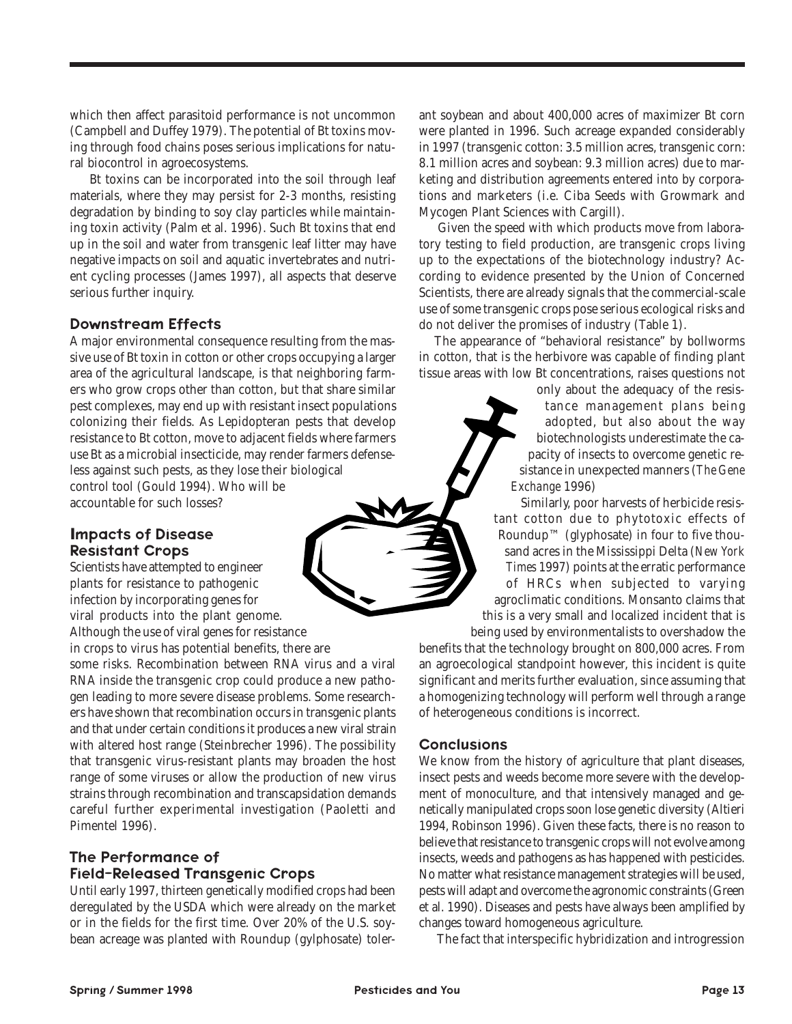which then affect parasitoid performance is not uncommon (Campbell and Duffey 1979). The potential of Bt toxins moving through food chains poses serious implications for natural biocontrol in agroecosystems.

 Bt toxins can be incorporated into the soil through leaf materials, where they may persist for 2-3 months, resisting degradation by binding to soy clay particles while maintaining toxin activity (Palm et al. 1996). Such Bt toxins that end up in the soil and water from transgenic leaf litter may have negative impacts on soil and aquatic invertebrates and nutrient cycling processes (James 1997), all aspects that deserve serious further inquiry.

#### Downstream Effects

A major environmental consequence resulting from the massive use of Bt toxin in cotton or other crops occupying a larger area of the agricultural landscape, is that neighboring farmers who grow crops other than cotton, but that share similar pest complexes, may end up with resistant insect populations colonizing their fields. As Lepidopteran pests that develop resistance to Bt cotton, move to adjacent fields where farmers use Bt as a microbial insecticide, may render farmers defenseless against such pests, as they lose their biological control tool (Gould 1994). Who will be accountable for such losses?

#### **I**mpacts of Disease Resistant Crops

Scientists have attempted to engineer plants for resistance to pathogenic infection by incorporating genes for viral products into the plant genome. Although the use of viral genes for resistance

in crops to virus has potential benefits, there are

some risks. Recombination between RNA virus and a viral RNA inside the transgenic crop could produce a new pathogen leading to more severe disease problems. Some researchers have shown that recombination occurs in transgenic plants and that under certain conditions it produces a new viral strain with altered host range (Steinbrecher 1996). The possibility that transgenic virus-resistant plants may broaden the host range of some viruses or allow the production of new virus strains through recombination and transcapsidation demands careful further experimental investigation (Paoletti and Pimentel 1996).

# The Performance of Field-Released Transgenic Crops

Until early 1997, thirteen genetically modified crops had been deregulated by the USDA which were already on the market or in the fields for the first time. Over 20% of the U.S. soybean acreage was planted with Roundup (gylphosate) tolerant soybean and about 400,000 acres of maximizer Bt corn were planted in 1996. Such acreage expanded considerably in 1997 (transgenic cotton: 3.5 million acres, transgenic corn: 8.1 million acres and soybean: 9.3 million acres) due to marketing and distribution agreements entered into by corporations and marketers (i.e. Ciba Seeds with Growmark and Mycogen Plant Sciences with Cargill).

 Given the speed with which products move from laboratory testing to field production, are transgenic crops living up to the expectations of the biotechnology industry? According to evidence presented by the Union of Concerned Scientists, there are already signals that the commercial-scale use of some transgenic crops pose serious ecological risks and do not deliver the promises of industry (Table 1).

The appearance of "behavioral resistance" by bollworms in cotton, that is the herbivore was capable of finding plant tissue areas with low Bt concentrations, raises questions not

> only about the adequacy of the resistance management plans being adopted, but also about the way biotechnologists underestimate the capacity of insects to overcome genetic resistance in unexpected manners (*The Gene Exchange* 1996)

 Similarly, poor harvests of herbicide resistant cotton due to phytotoxic effects of Roundup™ (glyphosate) in four to five thousand acres in the Mississippi Delta (*New York Times* 1997) points at the erratic performance of HRCs when subjected to varying agroclimatic conditions. Monsanto claims that this is a very small and localized incident that is being used by environmentalists to overshadow the

benefits that the technology brought on 800,000 acres. From an agroecological standpoint however, this incident is quite significant and merits further evaluation, since assuming that a homogenizing technology will perform well through a range of heterogeneous conditions is incorrect.

#### **Conclusions**

We know from the history of agriculture that plant diseases, insect pests and weeds become more severe with the development of monoculture, and that intensively managed and genetically manipulated crops soon lose genetic diversity (Altieri 1994, Robinson 1996). Given these facts, there is no reason to believe that resistance to transgenic crops will not evolve among insects, weeds and pathogens as has happened with pesticides. No matter what resistance management strategies will be used, pests will adapt and overcome the agronomic constraints (Green et al. 1990). Diseases and pests have always been amplified by changes toward homogeneous agriculture.

The fact that interspecific hybridization and introgression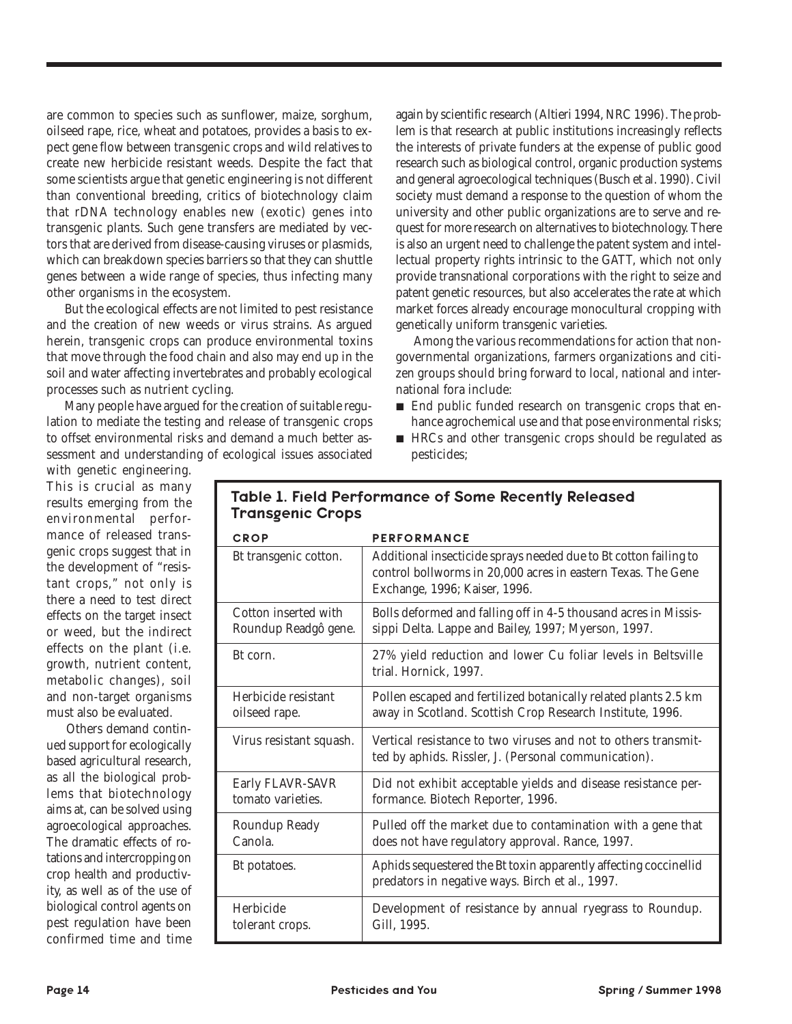are common to species such as sunflower, maize, sorghum, oilseed rape, rice, wheat and potatoes, provides a basis to expect gene flow between transgenic crops and wild relatives to create new herbicide resistant weeds. Despite the fact that some scientists argue that genetic engineering is not different than conventional breeding, critics of biotechnology claim that rDNA technology enables new (exotic) genes into transgenic plants. Such gene transfers are mediated by vectors that are derived from disease-causing viruses or plasmids, which can breakdown species barriers so that they can shuttle genes between a wide range of species, thus infecting many other organisms in the ecosystem.

 But the ecological effects are not limited to pest resistance and the creation of new weeds or virus strains. As argued herein, transgenic crops can produce environmental toxins that move through the food chain and also may end up in the soil and water affecting invertebrates and probably ecological processes such as nutrient cycling.

 Many people have argued for the creation of suitable regulation to mediate the testing and release of transgenic crops to offset environmental risks and demand a much better assessment and understanding of ecological issues associated

again by scientific research (Altieri 1994, NRC 1996). The problem is that research at public institutions increasingly reflects the interests of private funders at the expense of public good research such as biological control, organic production systems and general agroecological techniques (Busch et al. 1990). Civil society must demand a response to the question of whom the university and other public organizations are to serve and request for more research on alternatives to biotechnology. There is also an urgent need to challenge the patent system and intellectual property rights intrinsic to the GATT, which not only provide transnational corporations with the right to seize and patent genetic resources, but also accelerates the rate at which market forces already encourage monocultural cropping with genetically uniform transgenic varieties.

 Among the various recommendations for action that nongovernmental organizations, farmers organizations and citizen groups should bring forward to local, national and international fora include:

- End public funded research on transgenic crops that enhance agrochemical use and that pose environmental risks;
- HRCs and other transgenic crops should be regulated as pesticides;

with genetic engineering. This is crucial as many results emerging from the environmental performance of released transgenic crops suggest that in the development of "resistant crops," not only is there a need to test direct effects on the target insect or weed, but the indirect effects on the plant (i.e. growth, nutrient content, metabolic changes), soil and non-target organisms must also be evaluated.

 Others demand continued support for ecologically based agricultural research, as all the biological problems that biotechnology aims at, can be solved using agroecological approaches. The dramatic effects of rotations and intercropping on crop health and productivity, as well as of the use of biological control agents on pest regulation have been confirmed time and time

| <b>Transgenic Crops</b>                      |                                                                                                                                                                   |
|----------------------------------------------|-------------------------------------------------------------------------------------------------------------------------------------------------------------------|
| <b>CROP</b>                                  | <b>PERFORMANCE</b>                                                                                                                                                |
| Bt transgenic cotton.                        | Additional insecticide sprays needed due to Bt cotton failing to<br>control bollworms in 20,000 acres in eastern Texas. The Gene<br>Exchange, 1996; Kaiser, 1996. |
| Cotton inserted with<br>Roundup Readgô gene. | Bolls deformed and falling off in 4-5 thousand acres in Missis-<br>sippi Delta. Lappe and Bailey, 1997; Myerson, 1997.                                            |
| Bt corn.                                     | 27% yield reduction and lower Cu foliar levels in Beltsville<br>trial. Hornick, 1997.                                                                             |
| Herbicide resistant<br>oilseed rape.         | Pollen escaped and fertilized botanically related plants 2.5 km<br>away in Scotland. Scottish Crop Research Institute, 1996.                                      |
| Virus resistant squash.                      | Vertical resistance to two viruses and not to others transmit-<br>ted by aphids. Rissler, J. (Personal communication).                                            |
| Early FLAVR-SAVR<br>tomato varieties.        | Did not exhibit acceptable yields and disease resistance per-<br>formance. Biotech Reporter, 1996.                                                                |
| Roundup Ready<br>Canola.                     | Pulled off the market due to contamination with a gene that<br>does not have regulatory approval. Rance, 1997.                                                    |
| Bt potatoes.                                 | Aphids sequestered the Bt toxin apparently affecting coccinellid<br>predators in negative ways. Birch et al., 1997.                                               |
| Herbicide<br>tolerant crops.                 | Development of resistance by annual ryegrass to Roundup.<br>Gill, 1995.                                                                                           |

# Table 1. Field Performance of Some Recently Released Transgenic Crops